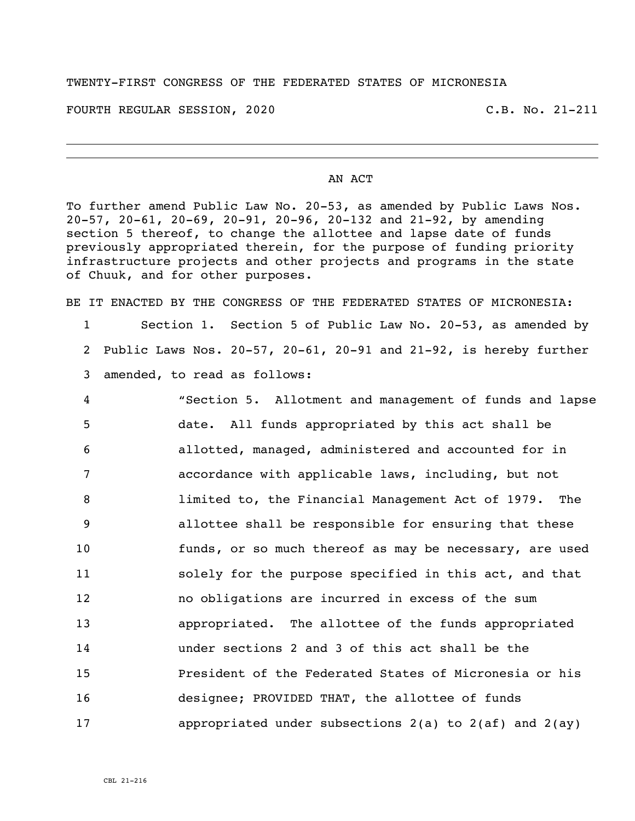## TWENTY-FIRST CONGRESS OF THE FEDERATED STATES OF MICRONESIA

FOURTH REGULAR SESSION, 2020 C.B. No. 21-211

## AN ACT

To further amend Public Law No. 20-53, as amended by Public Laws Nos. 20-57, 20-61, 20-69, 20-91, 20-96, 20-132 and 21-92, by amending section 5 thereof, to change the allottee and lapse date of funds previously appropriated therein, for the purpose of funding priority infrastructure projects and other projects and programs in the state of Chuuk, and for other purposes.

BE IT ENACTED BY THE CONGRESS OF THE FEDERATED STATES OF MICRONESIA:

- 1 Section 1. Section 5 of Public Law No. 20-53, as amended by 2 Public Laws Nos. 20-57, 20-61, 20-91 and 21-92, is hereby further 3 amended, to read as follows:
- 4 "Section 5. Allotment and management of funds and lapse 5 date. All funds appropriated by this act shall be 6 allotted, managed, administered and accounted for in 7 accordance with applicable laws, including, but not 8 limited to, the Financial Management Act of 1979. The 9 allottee shall be responsible for ensuring that these 10 funds, or so much thereof as may be necessary, are used 11 solely for the purpose specified in this act, and that 12 no obligations are incurred in excess of the sum 13 appropriated. The allottee of the funds appropriated 14 under sections 2 and 3 of this act shall be the 15 President of the Federated States of Micronesia or his 16 designee; PROVIDED THAT, the allottee of funds 17 appropriated under subsections 2(a) to 2(af) and 2(ay)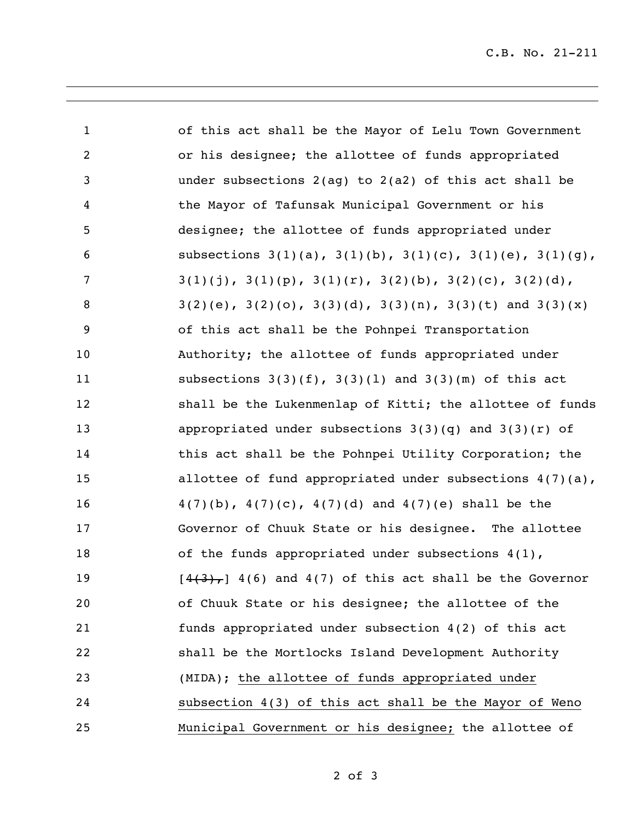| $\mathbf{1}$   | of this act shall be the Mayor of Lelu Town Government                  |
|----------------|-------------------------------------------------------------------------|
| $\overline{2}$ | or his designee; the allottee of funds appropriated                     |
| 3              | under subsections $2(aq)$ to $2(a2)$ of this act shall be               |
| 4              | the Mayor of Tafunsak Municipal Government or his                       |
| 5              | designee; the allottee of funds appropriated under                      |
| 6              | subsections $3(1)(a)$ , $3(1)(b)$ , $3(1)(c)$ , $3(1)(e)$ , $3(1)(g)$ , |
| 7              | $3(1)(j)$ , $3(1)(p)$ , $3(1)(r)$ , $3(2)(b)$ , $3(2)(c)$ , $3(2)(d)$ , |
| 8              | $3(2)(e)$ , $3(2)(o)$ , $3(3)(d)$ , $3(3)(n)$ , $3(3)(t)$ and $3(3)(x)$ |
| 9              | of this act shall be the Pohnpei Transportation                         |
| 10             | Authority; the allottee of funds appropriated under                     |
| 11             | subsections $3(3)(f)$ , $3(3)(1)$ and $3(3)(m)$ of this act             |
| 12             | shall be the Lukenmenlap of Kitti; the allottee of funds                |
| 13             | appropriated under subsections $3(3)(q)$ and $3(3)(r)$ of               |
| 14             | this act shall be the Pohnpei Utility Corporation; the                  |
| 15             | allottee of fund appropriated under subsections $4(7)(a)$ ,             |
| 16             | $4(7)(b)$ , $4(7)(c)$ , $4(7)(d)$ and $4(7)(e)$ shall be the            |
| 17             | Governor of Chuuk State or his designee. The allottee                   |
| 18             | of the funds appropriated under subsections $4(1)$ ,                    |
| 19             | $[4(3), 4(6)$ and $4(7)$ of this act shall be the Governor              |
| 20             | of Chuuk State or his designee; the allottee of the                     |
| 21             | funds appropriated under subsection 4(2) of this act                    |
| 22             | shall be the Mortlocks Island Development Authority                     |
| 23             | (MIDA); the allottee of funds appropriated under                        |
| 24             | subsection 4(3) of this act shall be the Mayor of Weno                  |
| 25             | Municipal Government or his designee; the allottee of                   |